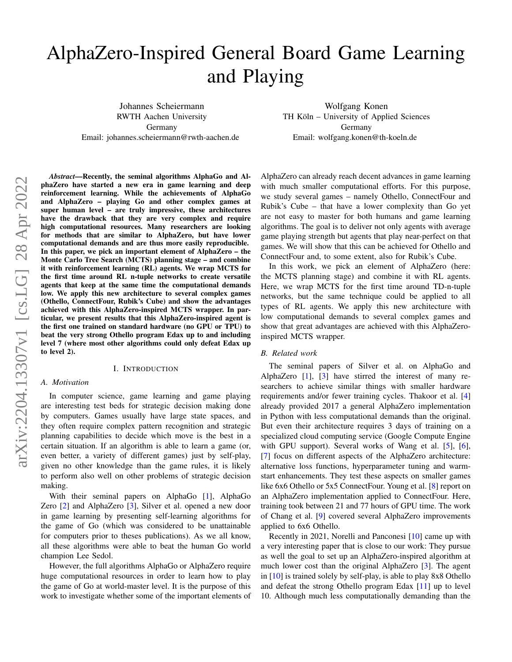# <span id="page-0-0"></span>AlphaZero-Inspired General Board Game Learning and Playing

Johannes Scheiermann RWTH Aachen University Germany Email: johannes.scheiermann@rwth-aachen.de

Wolfgang Konen TH Köln – University of Applied Sciences Germany Email: wolfgang.konen@th-koeln.de

*Abstract*—Recently, the seminal algorithms AlphaGo and AlphaZero have started a new era in game learning and deep reinforcement learning. While the achievements of AlphaGo and AlphaZero – playing Go and other complex games at super human level – are truly impressive, these architectures have the drawback that they are very complex and require high computational resources. Many researchers are looking for methods that are similar to AlphaZero, but have lower computational demands and are thus more easily reproducible. In this paper, we pick an important element of AlphaZero – the Monte Carlo Tree Search (MCTS) planning stage – and combine it with reinforcement learning (RL) agents. We wrap MCTS for the first time around RL n-tuple networks to create versatile agents that keep at the same time the computational demands low. We apply this new architecture to several complex games (Othello, ConnectFour, Rubik's Cube) and show the advantages achieved with this AlphaZero-inspired MCTS wrapper. In particular, we present results that this AlphaZero-inspired agent is the first one trained on standard hardware (no GPU or TPU) to beat the very strong Othello program Edax up to and including level 7 (where most other algorithms could only defeat Edax up to level 2).

## I. INTRODUCTION

## *A. Motivation*

In computer science, game learning and game playing are interesting test beds for strategic decision making done by computers. Games usually have large state spaces, and they often require complex pattern recognition and strategic planning capabilities to decide which move is the best in a certain situation. If an algorithm is able to learn a game (or, even better, a variety of different games) just by self-play, given no other knowledge than the game rules, it is likely to perform also well on other problems of strategic decision making.

With their seminal papers on AlphaGo [\[1\]](#page-7-0), AlphaGo Zero [\[2\]](#page-7-1) and AlphaZero [\[3\]](#page-8-0), Silver et al. opened a new door in game learning by presenting self-learning algorithms for the game of Go (which was considered to be unattainable for computers prior to theses publications). As we all know, all these algorithms were able to beat the human Go world champion Lee Sedol.

However, the full algorithms AlphaGo or AlphaZero require huge computational resources in order to learn how to play the game of Go at world-master level. It is the purpose of this work to investigate whether some of the important elements of

AlphaZero can already reach decent advances in game learning with much smaller computational efforts. For this purpose, we study several games – namely Othello, ConnectFour and Rubik's Cube – that have a lower complexity than Go yet are not easy to master for both humans and game learning algorithms. The goal is to deliver not only agents with average game playing strength but agents that play near-perfect on that games. We will show that this can be achieved for Othello and ConnectFour and, to some extent, also for Rubik's Cube.

In this work, we pick an element of AlphaZero (here: the MCTS planning stage) and combine it with RL agents. Here, we wrap MCTS for the first time around TD-n-tuple networks, but the same technique could be applied to all types of RL agents. We apply this new architecture with low computational demands to several complex games and show that great advantages are achieved with this AlphaZeroinspired MCTS wrapper.

#### *B. Related work*

The seminal papers of Silver et al. on AlphaGo and AlphaZero [\[1\]](#page-7-0), [\[3\]](#page-8-0) have stirred the interest of many researchers to achieve similar things with smaller hardware requirements and/or fewer training cycles. Thakoor et al. [\[4\]](#page-8-1) already provided 2017 a general AlphaZero implementation in Python with less computational demands than the original. But even their architecture requires 3 days of training on a specialized cloud computing service (Google Compute Engine with GPU support). Several works of Wang et al. [\[5\]](#page-8-2), [\[6\]](#page-8-3), [\[7\]](#page-8-4) focus on different aspects of the AlphaZero architecture: alternative loss functions, hyperparameter tuning and warmstart enhancements. They test these aspects on smaller games like 6x6 Othello or 5x5 ConnectFour. Young et al. [\[8\]](#page-8-5) report on an AlphaZero implementation applied to ConnectFour. Here, training took between 21 and 77 hours of GPU time. The work of Chang et al. [\[9\]](#page-8-6) covered several AlphaZero improvements applied to 6x6 Othello.

Recently in 2021, Norelli and Panconesi [\[10\]](#page-8-7) came up with a very interesting paper that is close to our work: They pursue as well the goal to set up an AlphaZero-inspired algorithm at much lower cost than the original AlphaZero [\[3\]](#page-8-0). The agent in [\[10\]](#page-8-7) is trained solely by self-play, is able to play 8x8 Othello and defeat the strong Othello program Edax [\[11\]](#page-8-8) up to level 10. Although much less computationally demanding than the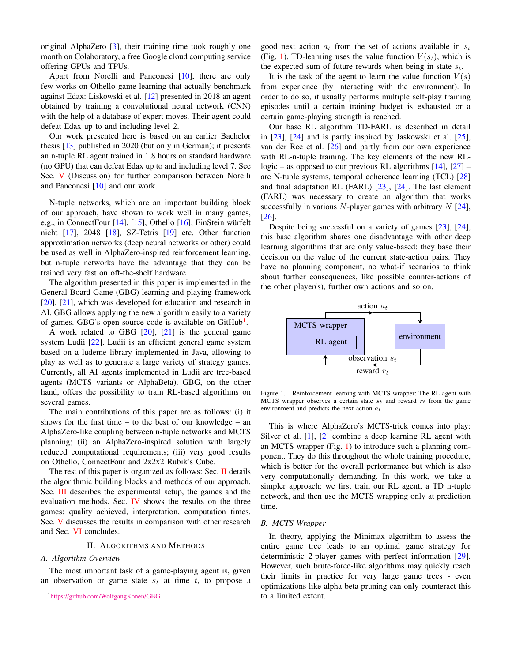<span id="page-1-3"></span>original AlphaZero [\[3\]](#page-8-0), their training time took roughly one month on Colaboratory, a free Google cloud computing service offering GPUs and TPUs.

Apart from Norelli and Panconesi [\[10\]](#page-8-7), there are only few works on Othello game learning that actually benchmark against Edax: Liskowski et al. [\[12\]](#page-8-9) presented in 2018 an agent obtained by training a convolutional neural network (CNN) with the help of a database of expert moves. Their agent could defeat Edax up to and including level 2.

Our work presented here is based on an earlier Bachelor thesis [\[13\]](#page-8-10) published in 2020 (but only in German); it presents an n-tuple RL agent trained in 1.8 hours on standard hardware (no GPU) that can defeat Edax up to and including level 7. See Sec. [V](#page-6-0) (Discussion) for further comparison between Norelli and Panconesi [\[10\]](#page-8-7) and our work.

N-tuple networks, which are an important building block of our approach, have shown to work well in many games, e.g., in ConnectFour  $[14]$ ,  $[15]$ , Othello  $[16]$ , EinStein würfelt nicht [\[17\]](#page-8-14), 2048 [\[18\]](#page-8-15), SZ-Tetris [\[19\]](#page-8-16) etc. Other function approximation networks (deep neural networks or other) could be used as well in AlphaZero-inspired reinforcement learning, but n-tuple networks have the advantage that they can be trained very fast on off-the-shelf hardware.

The algorithm presented in this paper is implemented in the General Board Game (GBG) learning and playing framework [\[20\]](#page-8-17), [\[21\]](#page-8-18), which was developed for education and research in AI. GBG allows applying the new algorithm easily to a variety of games. GBG's open source code is available on GitHub<sup>[1](#page-1-0)</sup>.

A work related to GBG  $[20]$ ,  $[21]$  is the general game system Ludii [\[22\]](#page-8-19). Ludii is an efficient general game system based on a ludeme library implemented in Java, allowing to play as well as to generate a large variety of strategy games. Currently, all AI agents implemented in Ludii are tree-based agents (MCTS variants or AlphaBeta). GBG, on the other hand, offers the possibility to train RL-based algorithms on several games.

The main contributions of this paper are as follows: (i) it shows for the first time – to the best of our knowledge – an AlphaZero-like coupling between n-tuple networks and MCTS planning; (ii) an AlphaZero-inspired solution with largely reduced computational requirements; (iii) very good results on Othello, ConnectFour and 2x2x2 Rubik's Cube.

The rest of this paper is organized as follows: Sec. [II](#page-1-1) details the algorithmic building blocks and methods of our approach. Sec. [III](#page-3-0) describes the experimental setup, the games and the evaluation methods. Sec. [IV](#page-4-0) shows the results on the three games: quality achieved, interpretation, computation times. Sec. [V](#page-6-0) discusses the results in comparison with other research and Sec. [VI](#page-7-2) concludes.

## II. ALGORITHMS AND METHODS

#### <span id="page-1-1"></span>*A. Algorithm Overview*

The most important task of a game-playing agent is, given an observation or game state  $s_t$  at time t, to propose a

<span id="page-1-0"></span><sup>1</sup><https://github.com/WolfgangKonen/GBG>

good next action  $a_t$  from the set of actions available in  $s_t$ (Fig. [1\)](#page-1-2). TD-learning uses the value function  $V(s_t)$ , which is the expected sum of future rewards when being in state  $s_t$ .

It is the task of the agent to learn the value function  $V(s)$ from experience (by interacting with the environment). In order to do so, it usually performs multiple self-play training episodes until a certain training budget is exhausted or a certain game-playing strength is reached.

Our base RL algorithm TD-FARL is described in detail in [\[23\]](#page-8-20), [\[24\]](#page-8-21) and is partly inspired by Jaskowski et al. [\[25\]](#page-8-22), van der Ree et al. [\[26\]](#page-8-23) and partly from our own experience with RL-n-tuple training. The key elements of the new RLlogic – as opposed to our previous RL algorithms  $[14]$ ,  $[27]$  – are N-tuple systems, temporal coherence learning (TCL) [\[28\]](#page-8-25) and final adaptation RL (FARL)  $[23]$ ,  $[24]$ . The last element (FARL) was necessary to create an algorithm that works successfully in various  $N$ -player games with arbitrary  $N$  [\[24\]](#page-8-21), [\[26\]](#page-8-23).

Despite being successful on a variety of games [\[23\]](#page-8-20), [\[24\]](#page-8-21), this base algorithm shares one disadvantage with other deep learning algorithms that are only value-based: they base their decision on the value of the current state-action pairs. They have no planning component, no what-if scenarios to think about further consequences, like possible counter-actions of the other player(s), further own actions and so on.



<span id="page-1-2"></span>Figure 1. Reinforcement learning with MCTS wrapper: The RL agent with MCTS wrapper observes a certain state  $s_t$  and reward  $r_t$  from the game environment and predicts the next action  $a_t$ .

This is where AlphaZero's MCTS-trick comes into play: Silver et al. [\[1\]](#page-7-0), [\[2\]](#page-7-1) combine a deep learning RL agent with an MCTS wrapper (Fig. [1\)](#page-1-2) to introduce such a planning component. They do this throughout the whole training procedure, which is better for the overall performance but which is also very computationally demanding. In this work, we take a simpler approach: we first train our RL agent, a TD n-tuple network, and then use the MCTS wrapping only at prediction time.

## *B. MCTS Wrapper*

In theory, applying the Minimax algorithm to assess the entire game tree leads to an optimal game strategy for deterministic 2-player games with perfect information [\[29\]](#page-8-26). However, such brute-force-like algorithms may quickly reach their limits in practice for very large game trees - even optimizations like alpha-beta pruning can only counteract this to a limited extent.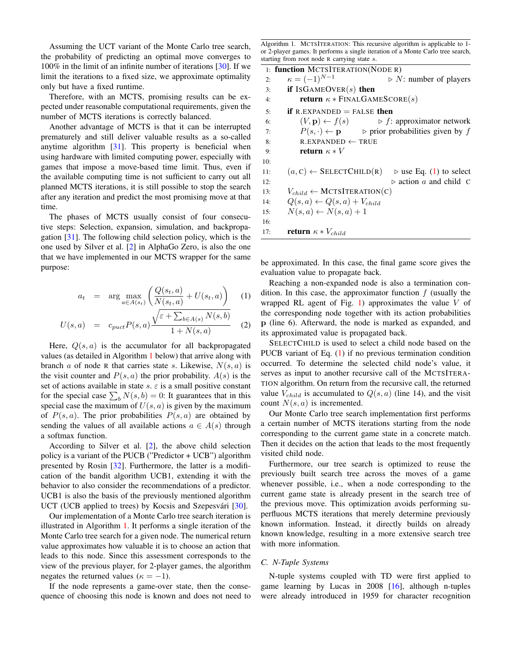<span id="page-2-3"></span>Assuming the UCT variant of the Monte Carlo tree search, the probability of predicting an optimal move converges to 100% in the limit of an infinite number of iterations [\[30\]](#page-8-27). If we limit the iterations to a fixed size, we approximate optimality only but have a fixed runtime.

Therefore, with an MCTS, promising results can be expected under reasonable computational requirements, given the number of MCTS iterations is correctly balanced.

Another advantage of MCTS is that it can be interrupted prematurely and still deliver valuable results as a so-called anytime algorithm [\[31\]](#page-8-28). This property is beneficial when using hardware with limited computing power, especially with games that impose a move-based time limit. Thus, even if the available computing time is not sufficient to carry out all planned MCTS iterations, it is still possible to stop the search after any iteration and predict the most promising move at that time.

The phases of MCTS usually consist of four consecutive steps: Selection, expansion, simulation, and backpropagation [\[31\]](#page-8-28). The following child selection policy, which is the one used by Silver et al. [\[2\]](#page-7-1) in AlphaGo Zero, is also the one that we have implemented in our MCTS wrapper for the same purpose:

<span id="page-2-1"></span>
$$
a_t = \arg \max_{a \in A(s_t)} \left( \frac{Q(s_t, a)}{N(s_t, a)} + U(s_t, a) \right) \tag{1}
$$

$$
U(s,a) = c_{puct} P(s,a) \frac{\sqrt{\varepsilon + \sum_{b \in A(s)} N(s,b)}}{1 + N(s,a)}
$$
 (2)

Here,  $Q(s, a)$  is the accumulator for all backpropagated values (as detailed in Algorithm [1](#page-2-0) below) that arrive along with branch a of node R that carries state s. Likewise,  $N(s, a)$  is the visit counter and  $P(s, a)$  the prior probability.  $A(s)$  is the set of actions available in state  $s$ .  $\varepsilon$  is a small positive constant for the special case  $\sum_b N(s, b) = 0$ : It guarantees that in this special case the maximum of  $U(s, a)$  is given by the maximum of  $P(s, a)$ . The prior probabilities  $P(s, a)$  are obtained by sending the values of all available actions  $a \in A(s)$  through a softmax function.

According to Silver et al. [\[2\]](#page-7-1), the above child selection policy is a variant of the PUCB ("Predictor + UCB") algorithm presented by Rosin [\[32\]](#page-8-29). Furthermore, the latter is a modification of the bandit algorithm UCB1, extending it with the behavior to also consider the recommendations of a predictor. UCB1 is also the basis of the previously mentioned algorithm UCT (UCB applied to trees) by Kocsis and Szepesvári [[30\]](#page-8-27).

Our implementation of a Monte Carlo tree search iteration is illustrated in Algorithm [1.](#page-2-0) It performs a single iteration of the Monte Carlo tree search for a given node. The numerical return value approximates how valuable it is to choose an action that leads to this node. Since this assessment corresponds to the view of the previous player, for 2-player games, the algorithm negates the returned values ( $\kappa = -1$ ).

If the node represents a game-over state, then the consequence of choosing this node is known and does not need to

<span id="page-2-0"></span>Algorithm 1. MCTSITERATION: This recursive algorithm is applicable to 1 or 2-player games. It performs a single iteration of a Monte Carlo tree search, starting from root node R carrying state s.

|     | 1: function MCTSITERATION(NODE R)                                                   |
|-----|-------------------------------------------------------------------------------------|
| 2:  | $\kappa = (-1)^{N-1}$<br>$\triangleright$ N: number of players                      |
| 3:  | if ISGAMEOVER $(s)$ then                                                            |
| 4:  | <b>return</b> $\kappa *$ FINALGAMESCORE(s)                                          |
| 5:  | <b>if</b> R.EXPANDED $=$ FALSE then                                                 |
| 6:  | $(V, \mathbf{p}) \leftarrow f(s)$ $\triangleright$ f: approximator network          |
| 7:  | $P(s, \cdot) \leftarrow \mathbf{p}$ $\triangleright$ prior probabilities given by f |
| 8:  | $R.$ EXPANDED $\leftarrow$ TRUE                                                     |
| 9:  | return $\kappa * V$                                                                 |
| 10: |                                                                                     |
| 11: | $(a, c) \leftarrow$ SELECTCHILD(R) $\triangleright$ use Eq. (1) to select           |
| 12: | $\triangleright$ action a and child C                                               |
| 13: | $V_{child} \leftarrow \text{MCTSITERATION}(C)$                                      |
| 14: | $Q(s, a) \leftarrow Q(s, a) + V_{child}$                                            |
| 15: | $N(s,a) \leftarrow N(s,a) + 1$                                                      |
| 16: |                                                                                     |
| 17: | <b>return</b> $\kappa * V_{child}$                                                  |
|     |                                                                                     |

be approximated. In this case, the final game score gives the evaluation value to propagate back.

Reaching a non-expanded node is also a termination condition. In this case, the approximator function  $f$  (usually the wrapped RL agent of Fig.  $1$ ) approximates the value V of the corresponding node together with its action probabilities p (line 6). Afterward, the node is marked as expanded, and its approximated value is propagated back.

SELECTCHILD is used to select a child node based on the PUCB variant of Eq. [\(1\)](#page-2-1) if no previous termination condition occurred. To determine the selected child node's value, it serves as input to another recursive call of the MCTSITERA-TION algorithm. On return from the recursive call, the returned value  $V_{child}$  is accumulated to  $Q(s, a)$  (line 14), and the visit count  $N(s, a)$  is incremented.

Our Monte Carlo tree search implementation first performs a certain number of MCTS iterations starting from the node corresponding to the current game state in a concrete match. Then it decides on the action that leads to the most frequently visited child node.

Furthermore, our tree search is optimized to reuse the previously built search tree across the moves of a game whenever possible, i.e., when a node corresponding to the current game state is already present in the search tree of the previous move. This optimization avoids performing superfluous MCTS iterations that merely determine previously known information. Instead, it directly builds on already known knowledge, resulting in a more extensive search tree with more information.

#### <span id="page-2-2"></span>*C. N-Tuple Systems*

N-tuple systems coupled with TD were first applied to game learning by Lucas in  $2008$  [\[16\]](#page-8-13), although n-tuples were already introduced in 1959 for character recognition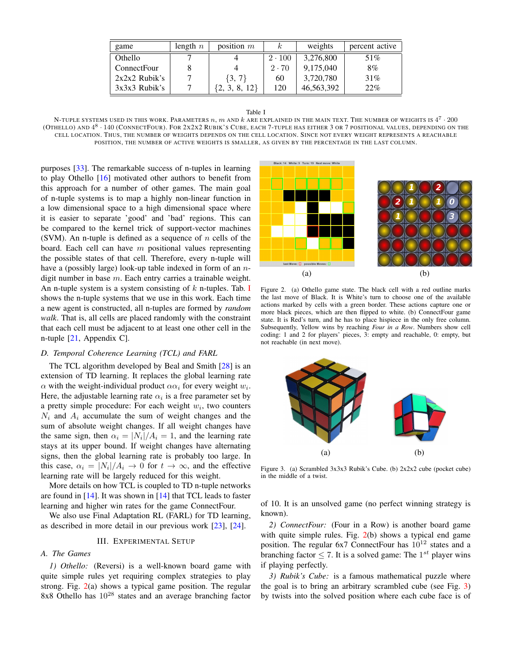<span id="page-3-4"></span>

| game               | length $n$ | position $m$ | $\kappa$      | weights    | percent active |
|--------------------|------------|--------------|---------------|------------|----------------|
| Othello            |            |              | $2 \cdot 100$ | 3,276,800  | 51%            |
| <b>ConnectFour</b> |            |              | $2 \cdot 70$  | 9.175.040  | 8%             |
| $2x2x2$ Rubik's    |            | $\{3, 7\}$   | 60            | 3,720,780  | 31%            |
| $3x3x3$ Rubik's    |            | 8,<br>12     | 120           | 46,563,392 | 22%            |

| ٧<br>۰,<br>×<br>٠<br>× |  |
|------------------------|--|
|------------------------|--|

<span id="page-3-1"></span>N-TUPLE SYSTEMS USED IN THIS WORK. PARAMETERS  $n,m$  and  $k$  are explained in the main text. The number of weights is  $4^7\cdot 200$ (Othello) and  $4^8\cdot 140$  (ConnectFour). For 2x2x2 Rubik's Cube, each 7-tuple has either 3 or 7 positional values, depending on the CELL LOCATION. THUS, THE NUMBER OF WEIGHTS DEPENDS ON THE CELL LOCATION. SINCE NOT EVERY WEIGHT REPRESENTS A REACHABLE POSITION, THE NUMBER OF ACTIVE WEIGHTS IS SMALLER, AS GIVEN BY THE PERCENTAGE IN THE LAST COLUMN.

purposes [\[33\]](#page-8-30). The remarkable success of n-tuples in learning to play Othello [\[16\]](#page-8-13) motivated other authors to benefit from this approach for a number of other games. The main goal of n-tuple systems is to map a highly non-linear function in a low dimensional space to a high dimensional space where it is easier to separate 'good' and 'bad' regions. This can be compared to the kernel trick of support-vector machines (SVM). An n-tuple is defined as a sequence of  $n$  cells of the board. Each cell can have  $m$  positional values representing the possible states of that cell. Therefore, every n-tuple will have a (possibly large) look-up table indexed in form of an  $n$ digit number in base  $m$ . Each entry carries a trainable weight. An n-tuple system is a system consisting of  $k$  n-tuples. Tab. [I](#page-3-1) shows the n-tuple systems that we use in this work. Each time a new agent is constructed, all n-tuples are formed by *random walk*. That is, all cells are placed randomly with the constraint that each cell must be adjacent to at least one other cell in the n-tuple [\[21,](#page-8-18) Appendix C].

## *D. Temporal Coherence Learning (TCL) and FARL*

The TCL algorithm developed by Beal and Smith [\[28\]](#page-8-25) is an extension of TD learning. It replaces the global learning rate  $\alpha$  with the weight-individual product  $\alpha \alpha_i$  for every weight  $w_i$ . Here, the adjustable learning rate  $\alpha_i$  is a free parameter set by a pretty simple procedure: For each weight  $w_i$ , two counters  $N_i$  and  $A_i$  accumulate the sum of weight changes and the sum of absolute weight changes. If all weight changes have the same sign, then  $\alpha_i = |N_i|/A_i = 1$ , and the learning rate stays at its upper bound. If weight changes have alternating signs, then the global learning rate is probably too large. In this case,  $\alpha_i = |N_i|/A_i \rightarrow 0$  for  $t \rightarrow \infty$ , and the effective learning rate will be largely reduced for this weight.

More details on how TCL is coupled to TD n-tuple networks are found in [\[14\]](#page-8-11). It was shown in [\[14\]](#page-8-11) that TCL leads to faster learning and higher win rates for the game ConnectFour.

We also use Final Adaptation RL (FARL) for TD learning, as described in more detail in our previous work [\[23\]](#page-8-20), [\[24\]](#page-8-21).

## III. EXPERIMENTAL SETUP

## <span id="page-3-0"></span>*A. The Games*

*1) Othello:* (Reversi) is a well-known board game with quite simple rules yet requiring complex strategies to play strong. Fig. [2\(](#page-3-2)a) shows a typical game position. The regular 8x8 Othello has  $10^{28}$  states and an average branching factor



<span id="page-3-2"></span>Figure 2. (a) Othello game state. The black cell with a red outline marks the last move of Black. It is White's turn to choose one of the available actions marked by cells with a green border. These actions capture one or more black pieces, which are then flipped to white. (b) ConnectFour game state. It is Red's turn, and he has to place hispiece in the only free column. Subsequently, Yellow wins by reaching *Four in a Row*. Numbers show cell coding: 1 and 2 for players' pieces, 3: empty and reachable, 0: empty, but not reachable (in next move).



<span id="page-3-3"></span>Figure 3. (a) Scrambled 3x3x3 Rubik's Cube. (b) 2x2x2 cube (pocket cube) in the middle of a twist.

of 10. It is an unsolved game (no perfect winning strategy is known).

*2) ConnectFour:* (Four in a Row) is another board game with quite simple rules. Fig. [2\(](#page-3-2)b) shows a typical end game position. The regular 6x7 ConnectFour has  $10^{12}$  states and a branching factor  $\leq 7$ . It is a solved game: The  $1^{st}$  player wins if playing perfectly.

*3) Rubik's Cube:* is a famous mathematical puzzle where the goal is to bring an arbitrary scrambled cube (see Fig. [3\)](#page-3-3) by twists into the solved position where each cube face is of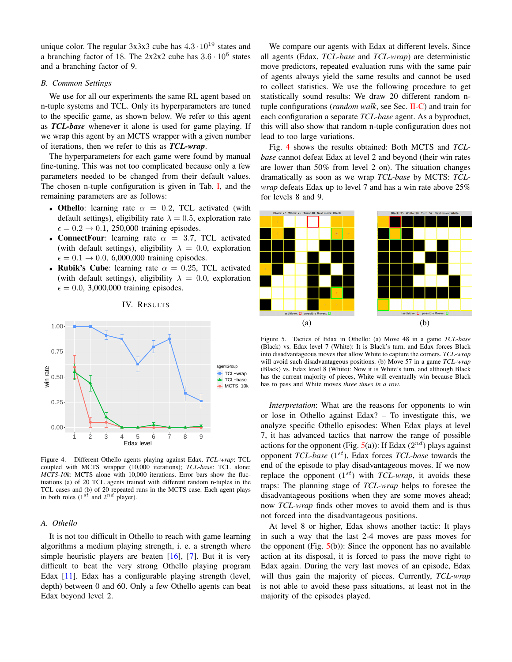<span id="page-4-3"></span>unique color. The regular  $3x3x3$  cube has  $4.3 \cdot 10^{19}$  states and a branching factor of 18. The  $2x2x2$  cube has  $3.6 \cdot 10^6$  states and a branching factor of 9.

# *B. Common Settings*

We use for all our experiments the same RL agent based on n-tuple systems and TCL. Only its hyperparameters are tuned to the specific game, as shown below. We refer to this agent as *TCL-base* whenever it alone is used for game playing. If we wrap this agent by an MCTS wrapper with a given number of iterations, then we refer to this as *TCL-wrap*.

The hyperparameters for each game were found by manual fine-tuning. This was not too complicated because only a few parameters needed to be changed from their default values. The chosen n-tuple configuration is given in Tab. [I,](#page-3-1) and the remaining parameters are as follows:

- Othello: learning rate  $\alpha = 0.2$ , TCL activated (with default settings), eligibility rate  $\lambda = 0.5$ , exploration rate  $\epsilon = 0.2 \rightarrow 0.1$ , 250,000 training episodes.
- ConnectFour: learning rate  $\alpha = 3.7$ , TCL activated (with default settings), eligibility  $\lambda = 0.0$ , exploration  $\epsilon = 0.1 \rightarrow 0.0, 6,000,000$  training episodes.
- Rubik's Cube: learning rate  $\alpha = 0.25$ , TCL activated (with default settings), eligibility  $\lambda = 0.0$ , exploration  $\epsilon = 0.0, 3,000,000$  training episodes.

<span id="page-4-0"></span>

IV. RESULTS

<span id="page-4-1"></span>Figure 4. Different Othello agents playing against Edax. *TCL-wrap*: TCL coupled with MCTS wrapper (10,000 iterations); *TCL-base*: TCL alone; *MCTS-10k*: MCTS alone with 10,000 iterations. Error bars show the fluctuations (a) of 20 TCL agents trained with different random n-tuples in the TCL cases and (b) of 20 repeated runs in the MCTS case. Each agent plays in both roles  $(1^{st}$  and  $2^{nd}$  player).

# *A. Othello*

It is not too difficult in Othello to reach with game learning algorithms a medium playing strength, i. e. a strength where simple heuristic players are beaten  $[16]$ ,  $[7]$ . But it is very difficult to beat the very strong Othello playing program Edax [\[11\]](#page-8-8). Edax has a configurable playing strength (level, depth) between 0 and 60. Only a few Othello agents can beat Edax beyond level 2.

We compare our agents with Edax at different levels. Since all agents (Edax, *TCL-base* and *TCL-wrap*) are deterministic move predictors, repeated evaluation runs with the same pair of agents always yield the same results and cannot be used to collect statistics. We use the following procedure to get statistically sound results: We draw 20 different random ntuple configurations (*random walk*, see Sec. [II-C\)](#page-2-2) and train for each configuration a separate *TCL-base* agent. As a byproduct, this will also show that random n-tuple configuration does not lead to too large variations.

Fig. [4](#page-4-1) shows the results obtained: Both MCTS and *TCLbase* cannot defeat Edax at level 2 and beyond (their win rates are lower than 50% from level 2 on). The situation changes dramatically as soon as we wrap *TCL-base* by MCTS: *TCLwrap* defeats Edax up to level 7 and has a win rate above 25% for levels 8 and 9.



<span id="page-4-2"></span>Figure 5. Tactics of Edax in Othello: (a) Move 48 in a game *TCL-base* (Black) vs. Edax level 7 (White): It is Black's turn, and Edax forces Black into disadvantageous moves that allow White to capture the corners. *TCL-wrap* will avoid such disadvantageous positions. (b) Move 57 in a game *TCL-wrap* (Black) vs. Edax level 8 (White): Now it is White's turn, and although Black has the current majority of pieces, White will eventually win because Black has to pass and White moves *three times in a row*.

*Interpretation*: What are the reasons for opponents to win or lose in Othello against Edax? – To investigate this, we analyze specific Othello episodes: When Edax plays at level 7, it has advanced tactics that narrow the range of possible actions for the opponent (Fig. [5\(](#page-4-2)a)): If Edax  $(2^{nd})$  plays against opponent *TCL-base* (1<sup>st</sup>), Edax forces *TCL-base* towards the end of the episode to play disadvantageous moves. If we now replace the opponent  $(1^{st})$  with *TCL-wrap*, it avoids these traps: The planning stage of *TCL-wrap* helps to foresee the disadvantageous positions when they are some moves ahead; now *TCL-wrap* finds other moves to avoid them and is thus not forced into the disadvantageous positions.

At level 8 or higher, Edax shows another tactic: It plays in such a way that the last 2-4 moves are pass moves for the opponent (Fig.  $5(b)$  $5(b)$ ): Since the opponent has no available action at its disposal, it is forced to pass the move right to Edax again. During the very last moves of an episode, Edax will thus gain the majority of pieces. Currently, *TCL-wrap* is not able to avoid these pass situations, at least not in the majority of the episodes played.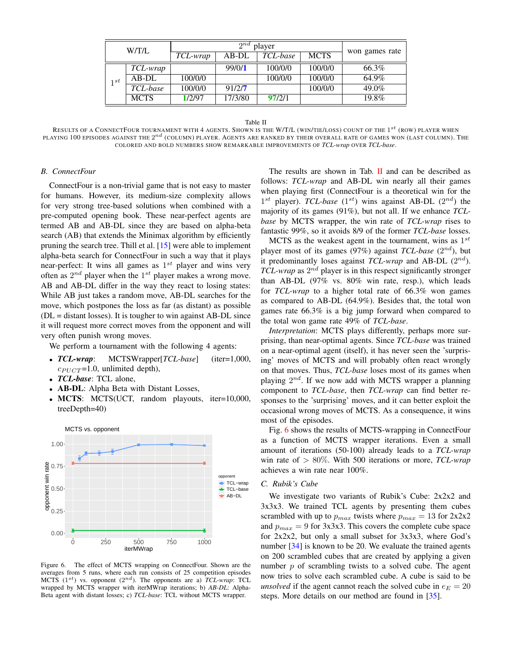<span id="page-5-2"></span>

| W/T/L |             | $2^{nd}$<br>player |         |          |             |                |
|-------|-------------|--------------------|---------|----------|-------------|----------------|
|       |             | TCL-wrap           | $AB-DL$ | TCL-base | <b>MCTS</b> | won games rate |
|       | TCL-wrap    |                    | 99/0/1  | 100/0/0  | 100/0/0     | 66.3%          |
| 1st   | $AB-DL$     | 100/0/0            |         | 100/0/0  | 100/0/0     | 64.9%          |
|       | TCL-base    | 100/0/0            | 91/27   |          | 100/0/0     | 49.0%          |
|       | <b>MCTS</b> | 1/2/97             | 17/3/80 | 97/2/1   |             | 19.8%          |

Table II

<span id="page-5-0"></span>RESULTS OF A CONNECTFOUR TOURNAMENT WITH 4 AGENTS. SHOWN IS THE W/T/L (WIN/TIE/LOSS) COUNT OF THE  $1^{st}$  (ROW) PLAYER WHEN playing 100 episodes against the  $2^{nd}$  (column) player. Agents are ranked by their overall rate of games won (last column). The COLORED AND BOLD NUMBERS SHOW REMARKABLE IMPROVEMENTS OF *TCL-wrap* OVER *TCL-base*.

## *B. ConnectFour*

ConnectFour is a non-trivial game that is not easy to master for humans. However, its medium-size complexity allows for very strong tree-based solutions when combined with a pre-computed opening book. These near-perfect agents are termed AB and AB-DL since they are based on alpha-beta search (AB) that extends the Minimax algorithm by efficiently pruning the search tree. Thill et al. [\[15\]](#page-8-12) were able to implement alpha-beta search for ConnectFour in such a way that it plays near-perfect: It wins all games as  $1^{st}$  player and wins very often as  $2^{nd}$  player when the  $1^{st}$  player makes a wrong move. AB and AB-DL differ in the way they react to losing states: While AB just takes a random move, AB-DL searches for the move, which postpones the loss as far (as distant) as possible  $(DL =$  distant losses). It is tougher to win against AB-DL since it will request more correct moves from the opponent and will very often punish wrong moves.

We perform a tournament with the following 4 agents:

- *TCL-wrap*: MCTSWrapper[*TCL-base*] (iter=1,000,  $c_{PUCT}$ =1.0, unlimited depth),
- *TCL-base*: TCL alone,
- AB-DL: Alpha Beta with Distant Losses,
- MCTS: MCTS(UCT, random playouts, iter=10,000, treeDepth=40)



<span id="page-5-1"></span>Figure 6. The effect of MCTS wrapping on ConnectFour. Shown are the averages from 5 runs, where each run consists of 25 competition episodes MCTS  $(1^{st})$  vs. opponent  $(2^{nd})$ . The opponents are a) *TCL-wrap*: TCL wrapped by MCTS wrapper with iterMWrap iterations; b) *AB-DL*: Alpha-Beta agent with distant losses; c) *TCL-base*: TCL without MCTS wrapper.

The results are shown in Tab.  $\mathbf{II}$  $\mathbf{II}$  $\mathbf{II}$  and can be described as follows: *TCL-wrap* and AB-DL win nearly all their games when playing first (ConnectFour is a theoretical win for the  $1^{st}$  player). *TCL-base*  $(1^{st})$  wins against AB-DL  $(2^{nd})$  the majority of its games (91%), but not all. If we enhance *TCLbase* by MCTS wrapper, the win rate of *TCL-wrap* rises to fantastic 99%, so it avoids 8/9 of the former *TCL-base* losses.

MCTS as the weakest agent in the tournament, wins as  $1^{st}$ player most of its games (97%) against *TCL-base* (2<sup>nd</sup>), but it predominantly loses against  $TCL$ -wrap and AB-DL  $(2^{nd})$ .  $TCL$ -wrap as  $2^{nd}$  player is in this respect significantly stronger than AB-DL (97% vs. 80% win rate, resp.), which leads for *TCL-wrap* to a higher total rate of 66.3% won games as compared to AB-DL (64.9%). Besides that, the total won games rate 66.3% is a big jump forward when compared to the total won game rate 49% of *TCL-base*.

*Interpretation*: MCTS plays differently, perhaps more surprising, than near-optimal agents. Since *TCL-base* was trained on a near-optimal agent (itself), it has never seen the 'surprising' moves of MCTS and will probably often react wrongly on that moves. Thus, *TCL-base* loses most of its games when playing  $2^{nd}$ . If we now add with MCTS wrapper a planning component to *TCL-base*, then *TCL-wrap* can find better responses to the 'surprising' moves, and it can better exploit the occasional wrong moves of MCTS. As a consequence, it wins most of the episodes.

Fig. [6](#page-5-1) shows the results of MCTS-wrapping in ConnectFour as a function of MCTS wrapper iterations. Even a small amount of iterations (50-100) already leads to a *TCL-wrap* win rate of > 80%. With 500 iterations or more, *TCL-wrap* achieves a win rate near 100%.

# *C. Rubik's Cube*

We investigate two variants of Rubik's Cube: 2x2x2 and 3x3x3. We trained TCL agents by presenting them cubes scrambled with up to  $p_{max}$  twists where  $p_{max} = 13$  for  $2x2x2$ and  $p_{max} = 9$  for 3x3x3. This covers the complete cube space for 2x2x2, but only a small subset for 3x3x3, where God's number [\[34\]](#page-8-31) is known to be 20. We evaluate the trained agents on 200 scrambled cubes that are created by applying a given number p of scrambling twists to a solved cube. The agent now tries to solve each scrambled cube. A cube is said to be *unsolved* if the agent cannot reach the solved cube in  $e_E = 20$ steps. More details on our method are found in [\[35\]](#page-8-32).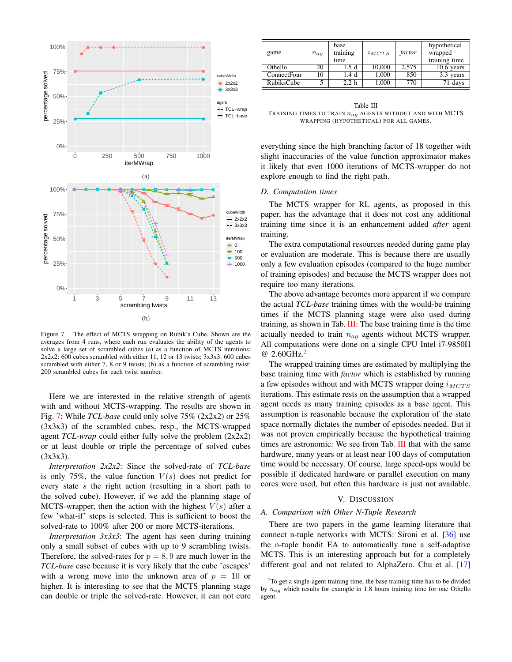<span id="page-6-4"></span>

<span id="page-6-1"></span>Figure 7. The effect of MCTS wrapping on Rubik's Cube. Shown are the averages from 4 runs, where each run evaluates the ability of the agents to solve a large set of scrambled cubes (a) as a function of MCTS iterations: 2x2x2: 600 cubes scrambled with either 11, 12 or 13 twists; 3x3x3: 600 cubes scrambled with either 7, 8 or 9 twists; (b) as a function of scrambling twist: 200 scrambled cubes for each twist number.

Here we are interested in the relative strength of agents with and without MCTS-wrapping. The results are shown in Fig. [7:](#page-6-1) While *TCL-base* could only solve 75% (2x2x2) or 25% (3x3x3) of the scrambled cubes, resp., the MCTS-wrapped agent *TCL-wrap* could either fully solve the problem (2x2x2) or at least double or triple the percentage of solved cubes (3x3x3).

*Interpretation 2x2x2*: Since the solved-rate of *TCL-base* is only 75%, the value function  $V(s)$  does not predict for every state s the right action (resulting in a short path to the solved cube). However, if we add the planning stage of MCTS-wrapper, then the action with the highest  $V(s)$  after a few 'what-if' steps is selected. This is sufficient to boost the solved-rate to 100% after 200 or more MCTS-iterations.

*Interpretation 3x3x3*: The agent has seen during training only a small subset of cubes with up to 9 scrambling twists. Therefore, the solved-rates for  $p = 8, 9$  are much lower in the *TCL-base* case because it is very likely that the cube 'escapes' with a wrong move into the unknown area of  $p = 10$  or higher. It is interesting to see that the MCTS planning stage can double or triple the solved-rate. However, it can not cure

| game               | $n_{ag}$ | base<br>training<br>time | $i_{MCTS}$ | factor | hypothetical<br>wrapped<br>training time |
|--------------------|----------|--------------------------|------------|--------|------------------------------------------|
| Othello            | 20       | .5 d                     | 10,000     | 2.575  | $10.6$ years                             |
| <b>ConnectFour</b> | 10       | 1.4 d                    | 1,000      | 850    | 3.3 years                                |
| RubiksCube         |          | 2.2 h                    | 1.000      | 770    | 71 days                                  |

<span id="page-6-2"></span>Table III TRAINING TIMES TO TRAIN  $n_{ag}$  agents without and with MCTS WRAPPING (HYPOTHETICAL) FOR ALL GAMES.

everything since the high branching factor of 18 together with slight inaccuracies of the value function approximator makes it likely that even 1000 iterations of MCTS-wrapper do not explore enough to find the right path.

## *D. Computation times*

The MCTS wrapper for RL agents, as proposed in this paper, has the advantage that it does not cost any additional training time since it is an enhancement added *after* agent training.

The extra computational resources needed during game play or evaluation are moderate. This is because there are usually only a few evaluation episodes (compared to the huge number of training episodes) and because the MCTS wrapper does not require too many iterations.

The above advantage becomes more apparent if we compare the actual *TCL-base* training times with the would-be training times if the MCTS planning stage were also used during training, as shown in Tab.  $III$ : The base training time is the time actually needed to train  $n_{aq}$  agents without MCTS wrapper. All computations were done on a single CPU Intel i7-9850H @ [2](#page-6-3).60GHz. $^{2}$ 

The wrapped training times are estimated by multiplying the base training time with *factor* which is established by running a few episodes without and with MCTS wrapper doing  $i_{MCTS}$ iterations. This estimate rests on the assumption that a wrapped agent needs as many training episodes as a base agent. This assumption is reasonable because the exploration of the state space normally dictates the number of episodes needed. But it was not proven empirically because the hypothetical training times are astronomic: We see from Tab. [III](#page-6-2) that with the same hardware, many years or at least near 100 days of computation time would be necessary. Of course, large speed-ups would be possible if dedicated hardware or parallel execution on many cores were used, but often this hardware is just not available.

#### V. DISCUSSION

## <span id="page-6-0"></span>*A. Comparison with Other N-Tuple Research*

There are two papers in the game learning literature that connect n-tuple networks with MCTS: Sironi et al. [\[36\]](#page-8-33) use the n-tuple bandit EA to automatically tune a self-adaptive MCTS. This is an interesting approach but for a completely different goal and not related to AlphaZero. Chu et al. [\[17\]](#page-8-14)

<span id="page-6-3"></span><sup>2</sup>To get a single-agent training time, the base training time has to be divided by  $n_{ag}$  which results for example in 1.8 hours training time for one Othello agent.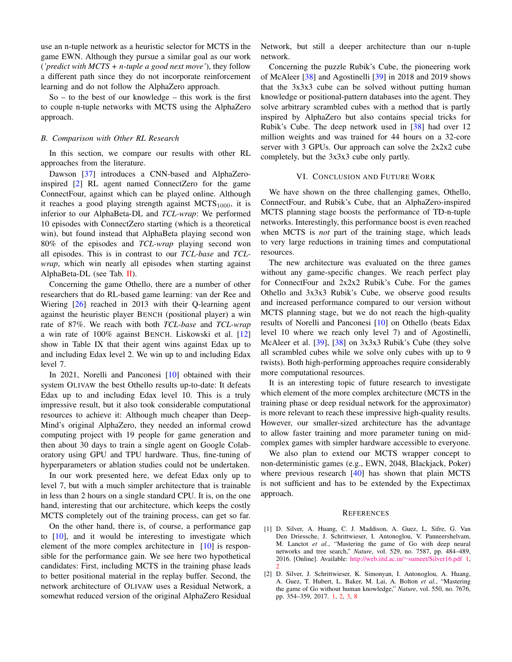<span id="page-7-3"></span>use an n-tuple network as a heuristic selector for MCTS in the game EWN. Although they pursue a similar goal as our work (*'predict with MCTS + n-tuple a good next move'*), they follow a different path since they do not incorporate reinforcement learning and do not follow the AlphaZero approach.

 $So - to the best of our knowledge - this work is the first$ to couple n-tuple networks with MCTS using the AlphaZero approach.

#### *B. Comparison with Other RL Research*

In this section, we compare our results with other RL approaches from the literature.

Dawson [\[37\]](#page-8-34) introduces a CNN-based and AlphaZeroinspired [\[2\]](#page-7-1) RL agent named ConnectZero for the game ConnectFour, against which can be played online. Although it reaches a good playing strength against  $MCTS<sub>1000</sub>$ , it is inferior to our AlphaBeta-DL and *TCL-wrap*: We performed 10 episodes with ConnectZero starting (which is a theoretical win), but found instead that AlphaBeta playing second won 80% of the episodes and *TCL-wrap* playing second won all episodes. This is in contrast to our *TCL-base* and *TCLwrap*, which win nearly all episodes when starting against AlphaBeta-DL (see Tab. [II\)](#page-5-0).

Concerning the game Othello, there are a number of other researchers that do RL-based game learning: van der Ree and Wiering [\[26\]](#page-8-23) reached in 2013 with their Q-learning agent against the heuristic player BENCH (positional player) a win rate of 87%. We reach with both *TCL-base* and *TCL-wrap* a win rate of 100% against BENCH. Liskowski et al. [\[12\]](#page-8-9) show in Table IX that their agent wins against Edax up to and including Edax level 2. We win up to and including Edax level 7.

In 2021, Norelli and Panconesi [\[10\]](#page-8-7) obtained with their system OLIVAW the best Othello results up-to-date: It defeats Edax up to and including Edax level 10. This is a truly impressive result, but it also took considerable computational resources to achieve it: Although much cheaper than Deep-Mind's original AlphaZero, they needed an informal crowd computing project with 19 people for game generation and then about 30 days to train a single agent on Google Colaboratory using GPU and TPU hardware. Thus, fine-tuning of hyperparameters or ablation studies could not be undertaken.

In our work presented here, we defeat Edax only up to level 7, but with a much simpler architecture that is trainable in less than 2 hours on a single standard CPU. It is, on the one hand, interesting that our architecture, which keeps the costly MCTS completely out of the training process, can get so far.

On the other hand, there is, of course, a performance gap to  $[10]$ , and it would be interesting to investigate which element of the more complex architecture in [\[10\]](#page-8-7) is responsible for the performance gain. We see here two hypothetical candidates: First, including MCTS in the training phase leads to better positional material in the replay buffer. Second, the network architecture of OLIVAW uses a Residual Network, a somewhat reduced version of the original AlphaZero Residual

Network, but still a deeper architecture than our n-tuple network.

Concerning the puzzle Rubik's Cube, the pioneering work of McAleer [\[38\]](#page-8-35) and Agostinelli [\[39\]](#page-8-36) in 2018 and 2019 shows that the 3x3x3 cube can be solved without putting human knowledge or positional-pattern databases into the agent. They solve arbitrary scrambled cubes with a method that is partly inspired by AlphaZero but also contains special tricks for Rubik's Cube. The deep network used in [\[38\]](#page-8-35) had over 12 million weights and was trained for 44 hours on a 32-core server with 3 GPUs. Our approach can solve the 2x2x2 cube completely, but the 3x3x3 cube only partly.

## VI. CONCLUSION AND FUTURE WORK

<span id="page-7-2"></span>We have shown on the three challenging games, Othello, ConnectFour, and Rubik's Cube, that an AlphaZero-inspired MCTS planning stage boosts the performance of TD-n-tuple networks. Interestingly, this performance boost is even reached when MCTS is *not* part of the training stage, which leads to very large reductions in training times and computational resources.

The new architecture was evaluated on the three games without any game-specific changes. We reach perfect play for ConnectFour and  $2x2x2$  Rubik's Cube. For the games Othello and 3x3x3 Rubik's Cube, we observe good results and increased performance compared to our version without MCTS planning stage, but we do not reach the high-quality results of Norelli and Panconesi [\[10\]](#page-8-7) on Othello (beats Edax level 10 where we reach only level 7) and of Agostinelli, McAleer et al. [\[39\]](#page-8-36), [\[38\]](#page-8-35) on 3x3x3 Rubik's Cube (they solve all scrambled cubes while we solve only cubes with up to 9 twists). Both high-performing approaches require considerably more computational resources.

It is an interesting topic of future research to investigate which element of the more complex architecture (MCTS in the training phase or deep residual network for the approximator) is more relevant to reach these impressive high-quality results. However, our smaller-sized architecture has the advantage to allow faster training and more parameter tuning on midcomplex games with simpler hardware accessible to everyone.

We also plan to extend our MCTS wrapper concept to non-deterministic games (e.g., EWN, 2048, Blackjack, Poker) where previous research [\[40\]](#page-8-37) has shown that plain MCTS is not sufficient and has to be extended by the Expectimax approach.

#### **REFERENCES**

- <span id="page-7-0"></span>[1] D. Silver, A. Huang, C. J. Maddison, A. Guez, L. Sifre, G. Van Den Driessche, J. Schrittwieser, I. Antonoglou, V. Panneershelvam, M. Lanctot *et al.*, "Mastering the game of Go with deep neural networks and tree search," *Nature*, vol. 529, no. 7587, pp. 484–489, 2016. [Online]. Available: http://web.iitd.ac.in/∼[sumeet/Silver16.pdf](http://web.iitd.ac.in/~sumeet/Silver16.pdf) [1,](#page-0-0) [2](#page-1-3)
- <span id="page-7-1"></span>[2] D. Silver, J. Schrittwieser, K. Simonyan, I. Antonoglou, A. Huang, A. Guez, T. Hubert, L. Baker, M. Lai, A. Bolton *et al.*, "Mastering the game of Go without human knowledge," *Nature*, vol. 550, no. 7676, pp. 354–359, 2017. [1,](#page-0-0) [2,](#page-1-3) [3,](#page-2-3) [8](#page-7-3)